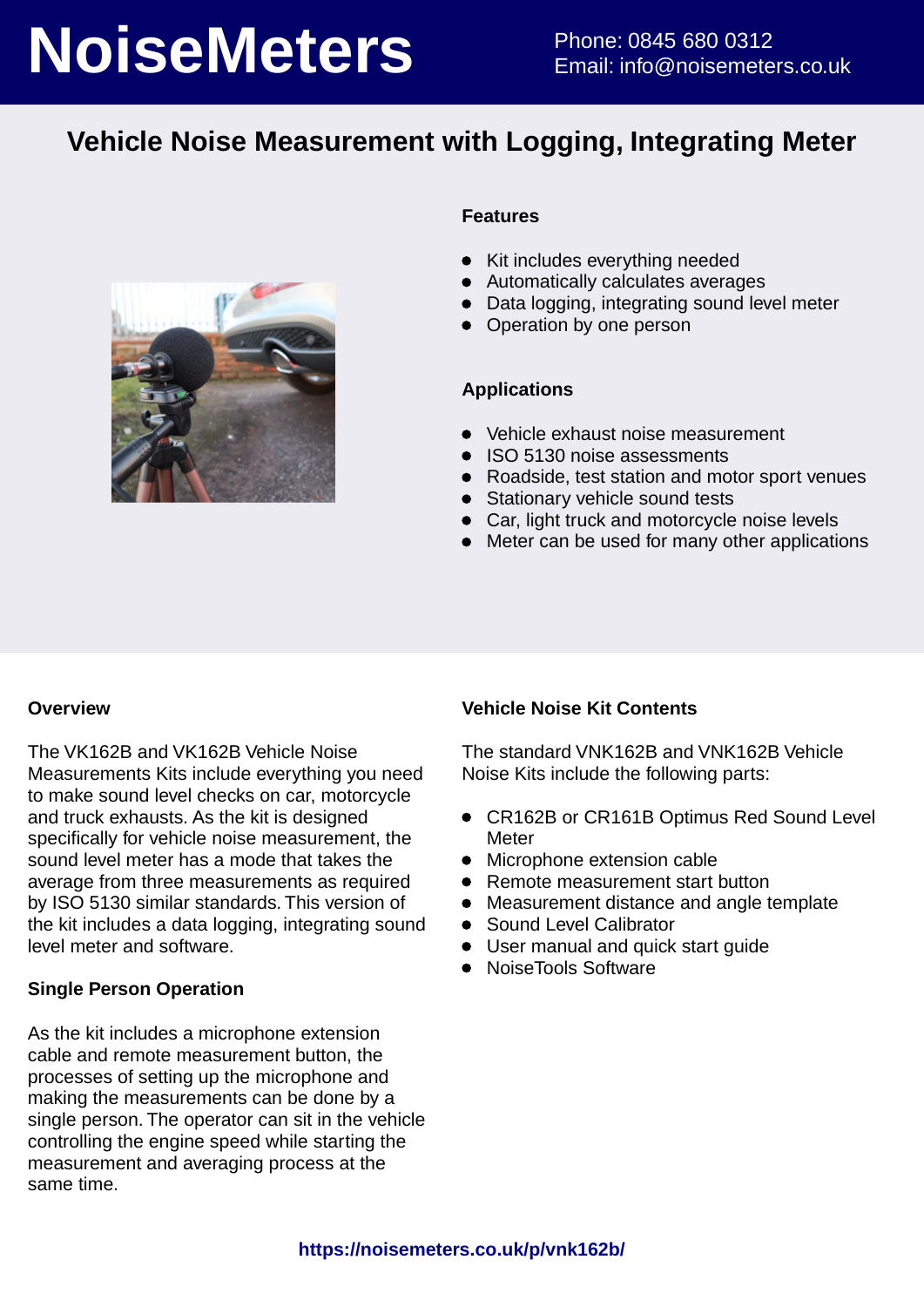# **NoiseMeters** Phone: 0845 680 0312

## **Vehicle Noise Measurement with Logging, Integrating Meter**



### **Features**

- Kit includes everything needed
- Automatically calculates averages
- Data logging, integrating sound level meter
- Operation by one person

### **Applications**

- Vehicle exhaust noise measurement
- ISO 5130 noise assessments
- Roadside, test station and motor sport venues
- Stationary vehicle sound tests
- Car, light truck and motorcycle noise levels
- Meter can be used for many other applications

### **Overview**

The VK162B and VK162B Vehicle Noise Measurements Kits include everything you need to make sound level checks on car, motorcycle and truck exhausts. As the kit is designed specifically for vehicle noise measurement, the sound level meter has a mode that takes the average from three measurements as required by ISO 5130 similar standards. This version of the kit includes a data logging, integrating sound level meter and software.

### **Single Person Operation**

As the kit includes a microphone extension cable and remote measurement button, the processes of setting up the microphone and making the measurements can be done by a single person. The operator can sit in the vehicle controlling the engine speed while starting the measurement and averaging process at the same time.

### **Vehicle Noise Kit Contents**

The standard VNK162B and VNK162B Vehicle Noise Kits include the following parts:

- CR162B or CR161B Optimus Red Sound Level **Meter**
- Microphone extension cable
- Remote measurement start button
- Measurement distance and angle template
- **•** Sound Level Calibrator
- User manual and quick start guide
- NoiseTools Software